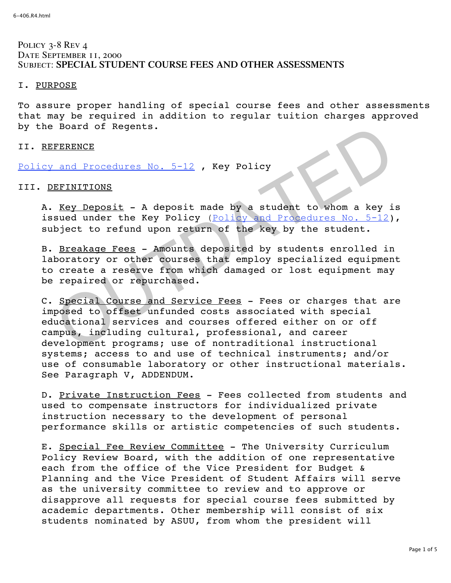# POLICY 3-8 REV 4 DATE SEPTEMBER 11, 2000 Subject: **SPECIAL STUDENT COURSE FEES AND OTHER ASSESSMENTS**

## I. PURPOSE

To assure proper handling of special course fees and other assessments that may be required in addition to regular tuition charges approved by the Board of Regents.

## II. REFERENCE

Policy and Procedures No. 5-12, Key Policy

# III. DEFINITIONS

A. Key Deposit - A deposit made by a student to whom a key is issued under the Key Policy (Policy and Procedures No. 5-12), subject to refund upon return of the key by the student.

B. Breakage Fees - Amounts deposited by students enrolled in laboratory or other courses that employ specialized equipment to create a reserve from which damaged or lost equipment may be repaired or repurchased.

C. Special Course and Service Fees - Fees or charges that are imposed to offset unfunded costs associated with special educational services and courses offered either on or off campus, including cultural, professional, and career development programs; use of nontraditional instructional systems; access to and use of technical instruments; and/or use of consumable laboratory or other instructional materials. See Paragraph V, ADDENDUM. BRENCE<br>
And Procedures No. 5-12, Key Policy<br>
BRINITIONS<br>
Key Deposit - A deposit made by a student to whom a key i<br>
sued under the Key Policy (Policy and Procedures No. 5-12)<br>
bject to refund upon return of the Key by the

D. Private Instruction Fees - Fees collected from students and used to compensate instructors for individualized private instruction necessary to the development of personal performance skills or artistic competencies of such students.

E. Special Fee Review Committee - The University Curriculum Policy Review Board, with the addition of one representative each from the office of the Vice President for Budget & Planning and the Vice President of Student Affairs will serve as the university committee to review and to approve or disapprove all requests for special course fees submitted by academic departments. Other membership will consist of six students nominated by ASUU, from whom the president will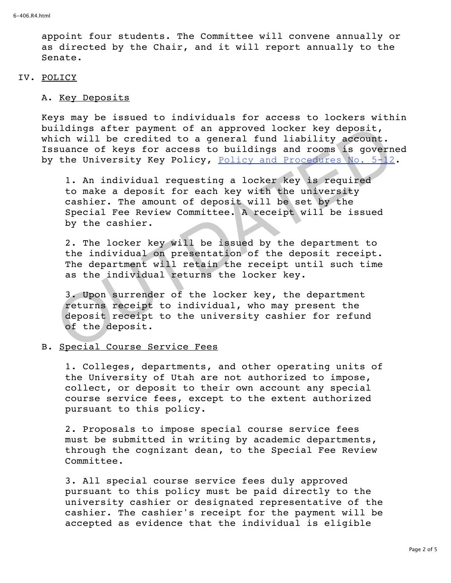appoint four students. The Committee will convene annually or as directed by the Chair, and it will report annually to the Senate.

#### IV. POLICY

## A. Key Deposits

Keys may be issued to individuals for access to lockers within buildings after payment of an approved locker key deposit, which will be credited to a general fund liability account. Issuance of keys for access to buildings and rooms is governed by the University Key Policy, Policy and Procedures No. 5-12.

1. An individual requesting a locker key is required to make a deposit for each key with the university cashier. The amount of deposit will be set by the Special Fee Review Committee. A receipt will be issued by the cashier. ildings after payment of an approved locker key deposit,<br>iclub in eredited to a general fund liability account.<br>suance of keys for access to buildings and rooms is govern<br>the University Key Policy, <u>Policy and Procedures N</u>

2. The locker key will be issued by the department to the individual on presentation of the deposit receipt. The department will retain the receipt until such time as the individual returns the locker key.

3. Upon surrender of the locker key, the department returns receipt to individual, who may present the deposit receipt to the university cashier for refund of the deposit.

#### B. Special Course Service Fees

1. Colleges, departments, and other operating units of the University of Utah are not authorized to impose, collect, or deposit to their own account any special course service fees, except to the extent authorized pursuant to this policy.

2. Proposals to impose special course service fees must be submitted in writing by academic departments, through the cognizant dean, to the Special Fee Review Committee.

3. All special course service fees duly approved pursuant to this policy must be paid directly to the university cashier or designated representative of the cashier. The cashier's receipt for the payment will be accepted as evidence that the individual is eligible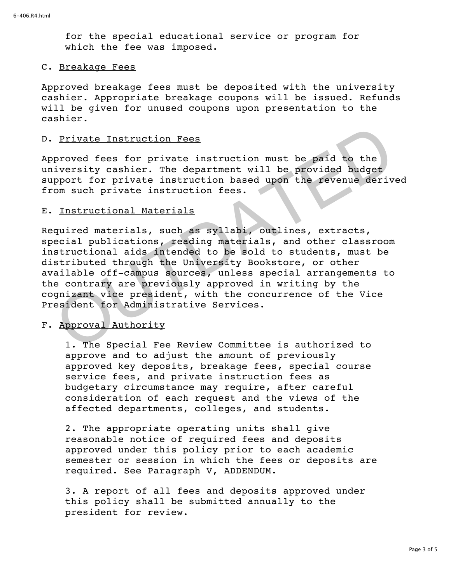for the special educational service or program for which the fee was imposed.

## C. Breakage Fees

Approved breakage fees must be deposited with the university cashier. Appropriate breakage coupons will be issued. Refunds will be given for unused coupons upon presentation to the cashier.

## D. Private Instruction Fees

Approved fees for private instruction must be paid to the university cashier. The department will be provided budget support for private instruction based upon the revenue derived from such private instruction fees.

## E. Instructional Materials

Required materials, such as syllabi, outlines, extracts, special publications, reading materials, and other classroom instructional aids intended to be sold to students, must be distributed through the University Bookstore, or other available off-campus sources, unless special arrangements to the contrary are previously approved in writing by the cognizant vice president, with the concurrence of the Vice President for Administrative Services. Private Instruction Fees<br>proved fees for private instruction must be paid to the<br>iversity cashier. The department will be provided budget<br>pport for private instruction based upon the revenue deriv<br>om such private instructi

# F. Approval Authority

1. The Special Fee Review Committee is authorized to approve and to adjust the amount of previously approved key deposits, breakage fees, special course service fees, and private instruction fees as budgetary circumstance may require, after careful consideration of each request and the views of the affected departments, colleges, and students.

2. The appropriate operating units shall give reasonable notice of required fees and deposits approved under this policy prior to each academic semester or session in which the fees or deposits are required. See Paragraph V, ADDENDUM.

3. A report of all fees and deposits approved under this policy shall be submitted annually to the president for review.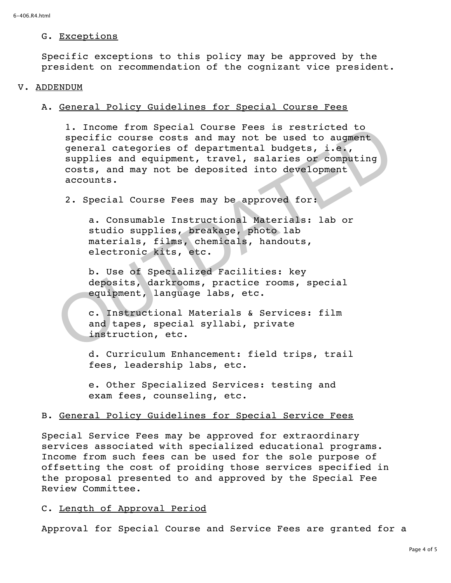## G. Exceptions

Specific exceptions to this policy may be approved by the president on recommendation of the cognizant vice president.

## V. ADDENDUM

# A. General Policy Guidelines for Special Course Fees

1. Income from Special Course Fees is restricted to specific course costs and may not be used to augment general categories of departmental budgets, i.e., supplies and equipment, travel, salaries or computing costs, and may not be deposited into development accounts. I. Income from Special Course Fees is restricted to<br>specific course costs and may not be used to augment<br>general categories of departmental budgets, i.e.,<br>supplies and may not be deposited into development<br>costs, and may n

2. Special Course Fees may be approved for:

a. Consumable Instructional Materials: lab or studio supplies, breakage, photo lab materials, films, chemicals, handouts, electronic kits, etc.

b. Use of Specialized Facilities: key deposits, darkrooms, practice rooms, special equipment, language labs, etc.

c. Instructional Materials & Services: film and tapes, special syllabi, private instruction, etc.

d. Curriculum Enhancement: field trips, trail fees, leadership labs, etc.

e. Other Specialized Services: testing and exam fees, counseling, etc.

# B. General Policy Guidelines for Special Service Fees

Special Service Fees may be approved for extraordinary services associated with specialized educational programs. Income from such fees can be used for the sole purpose of offsetting the cost of proiding those services specified in the proposal presented to and approved by the Special Fee Review Committee.

# C. Length of Approval Period

Approval for Special Course and Service Fees are granted for a